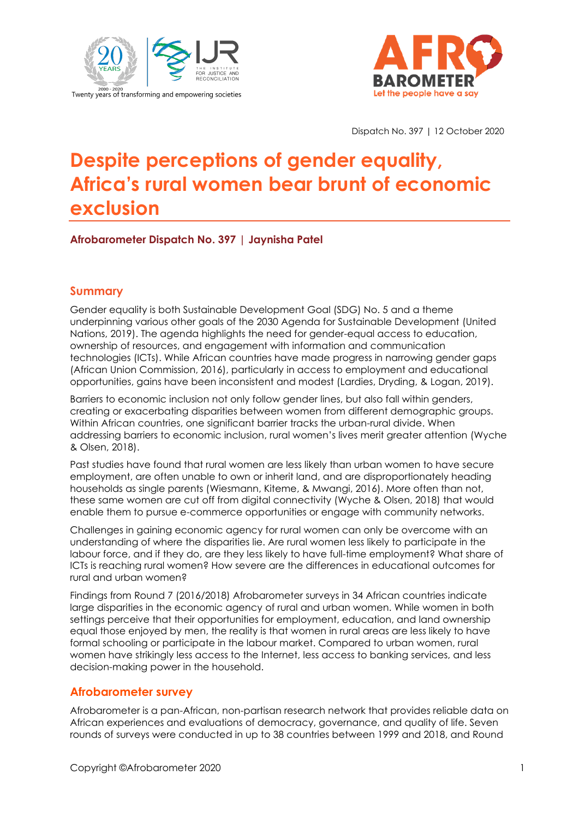



Dispatch No. 397 | 12 October 2020

# **Despite perceptions of gender equality, Africa's rural women bear brunt of economic exclusion**

**Afrobarometer Dispatch No. 397 | Jaynisha Patel**

## **Summary**

Gender equality is both Sustainable Development Goal (SDG) No. 5 and a theme underpinning various other goals of the 2030 Agenda for Sustainable Development (United Nations, 2019). The agenda highlights the need for gender-equal access to education, ownership of resources, and engagement with information and communication technologies (ICTs). While African countries have made progress in narrowing gender gaps (African Union Commission, 2016), particularly in access to employment and educational opportunities, gains have been inconsistent and modest (Lardies, Dryding, & Logan, 2019).

Barriers to economic inclusion not only follow gender lines, but also fall within genders, creating or exacerbating disparities between women from different demographic groups. Within African countries, one significant barrier tracks the urban-rural divide. When addressing barriers to economic inclusion, rural women's lives merit greater attention (Wyche & Olsen, 2018).

Past studies have found that rural women are less likely than urban women to have secure employment, are often unable to own or inherit land, and are disproportionately heading households as single parents (Wiesmann, Kiteme, & Mwangi, 2016). More often than not, these same women are cut off from digital connectivity (Wyche & Olsen, 2018) that would enable them to pursue e-commerce opportunities or engage with community networks.

Challenges in gaining economic agency for rural women can only be overcome with an understanding of where the disparities lie. Are rural women less likely to participate in the labour force, and if they do, are they less likely to have full-time employment? What share of ICTs is reaching rural women? How severe are the differences in educational outcomes for rural and urban women?

Findings from Round 7 (2016/2018) Afrobarometer surveys in 34 African countries indicate large disparities in the economic agency of rural and urban women. While women in both settings perceive that their opportunities for employment, education, and land ownership equal those enjoyed by men, the reality is that women in rural areas are less likely to have formal schooling or participate in the labour market. Compared to urban women, rural women have strikingly less access to the Internet, less access to banking services, and less decision-making power in the household.

#### **Afrobarometer survey**

Afrobarometer is a pan-African, non-partisan research network that provides reliable data on African experiences and evaluations of democracy, governance, and quality of life. Seven rounds of surveys were conducted in up to 38 countries between 1999 and 2018, and Round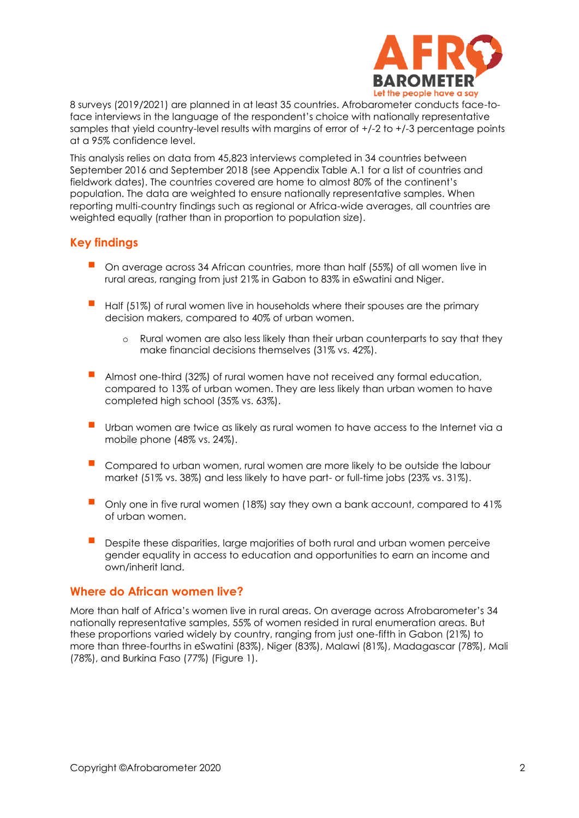

8 surveys (2019/2021) are planned in at least 35 countries. Afrobarometer conducts face-toface interviews in the language of the respondent's choice with nationally representative samples that yield country-level results with margins of error of +/-2 to +/-3 percentage points at a 95% confidence level.

This analysis relies on data from 45,823 interviews completed in 34 countries between September 2016 and September 2018 (see Appendix Table A.1 for a list of countries and fieldwork dates). The countries covered are home to almost 80% of the continent's population. The data are weighted to ensure nationally representative samples. When reporting multi-country findings such as regional or Africa-wide averages, all countries are weighted equally (rather than in proportion to population size).

## **Key findings**

- On average across 34 African countries, more than half (55%) of all women live in rural areas, ranging from just 21% in Gabon to 83% in eSwatini and Niger.
- Half (51%) of rural women live in households where their spouses are the primary decision makers, compared to 40% of urban women.
	- o Rural women are also less likely than their urban counterparts to say that they make financial decisions themselves (31% vs. 42%).
- Almost one-third (32%) of rural women have not received any formal education, compared to 13% of urban women. They are less likely than urban women to have completed high school (35% vs. 63%).
- Urban women are twice as likely as rural women to have access to the Internet via a mobile phone (48% vs. 24%).
- Compared to urban women, rural women are more likely to be outside the labour market (51% vs. 38%) and less likely to have part- or full-time jobs (23% vs. 31%).
- Only one in five rural women (18%) say they own a bank account, compared to 41% of urban women.
- Despite these disparities, large majorities of both rural and urban women perceive gender equality in access to education and opportunities to earn an income and own/inherit land.

#### **Where do African women live?**

More than half of Africa's women live in rural areas. On average across Afrobarometer's 34 nationally representative samples, 55% of women resided in rural enumeration areas. But these proportions varied widely by country, ranging from just one-fifth in Gabon (21%) to more than three-fourths in eSwatini (83%), Niger (83%), Malawi (81%), Madagascar (78%), Mali (78%), and Burkina Faso (77%) (Figure 1).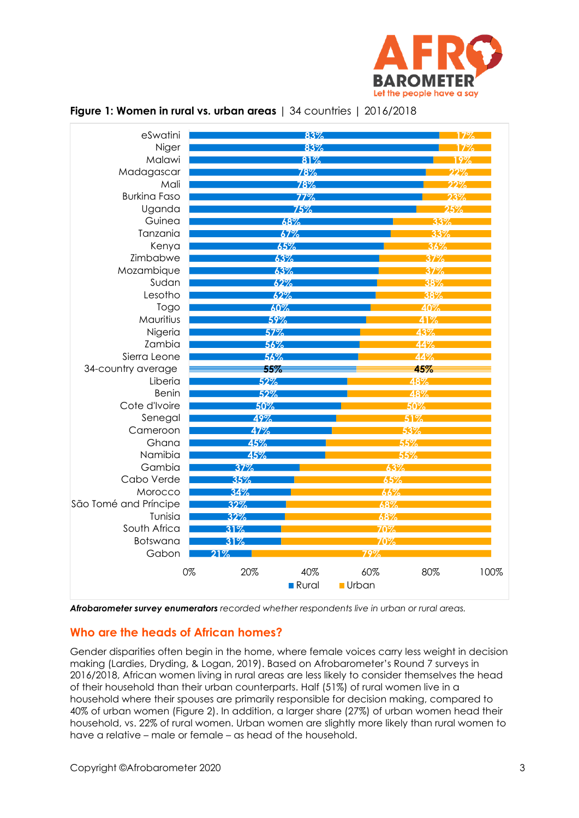

| eSwatini              |     | 83%                      |              |                                | 79   |  |
|-----------------------|-----|--------------------------|--------------|--------------------------------|------|--|
| Niger                 |     | 83%                      |              |                                |      |  |
| Malawi                |     | 81%                      |              | 19%                            |      |  |
| Madagascar            |     | 78%<br>78%<br>77%<br>75% |              | つつヅ<br>$22\%$<br>$23\%$<br>25% |      |  |
| Mali                  |     |                          |              |                                |      |  |
| <b>Burkina Faso</b>   |     |                          |              |                                |      |  |
| Uganda                |     |                          |              |                                |      |  |
| Guinea                |     | 68%                      |              | 33%                            |      |  |
| Tanzania              |     | 67%                      |              | 33%                            |      |  |
| Kenya                 |     | 65%                      |              | 36%                            |      |  |
| Zimbabwe              |     | 63%                      |              | 37%                            |      |  |
| Mozambique            |     | 63%<br>62%               |              | 37%                            |      |  |
| Sudan                 |     |                          |              | 38%                            |      |  |
| Lesotho               |     | 62%                      |              | 38%                            |      |  |
| Togo                  |     | 60%                      |              | 40%                            |      |  |
| Mauritius             |     | 59%                      |              | 41%                            |      |  |
| Nigeria               |     | 57%<br>56%<br>56%        |              | 43%                            |      |  |
| Zambia                |     |                          |              | 44%                            |      |  |
| Sierra Leone          |     |                          |              | 44%                            |      |  |
| 34-country average    |     | 55%                      |              | 45%                            |      |  |
| Liberia               |     | 52%<br>52%<br>50%<br>49% |              | 48%                            |      |  |
| Benin                 |     |                          |              | 48%                            |      |  |
| Cote d'Ivoire         |     |                          |              | 50%                            |      |  |
| Senegal               |     |                          |              | 51%                            |      |  |
| Cameroon              |     | 47%                      |              | 53%                            |      |  |
| Ghana                 | 45% |                          |              | 55%                            |      |  |
| Namibia               | 45% |                          | 55%<br>63%   |                                |      |  |
| Gambia                | 37% |                          |              |                                |      |  |
| Cabo Verde            | 35% |                          |              | 65%                            |      |  |
| Morocco               | 34% | 66%                      |              |                                |      |  |
| São Tomé and Príncipe | 32% |                          | 68%<br>68%   |                                |      |  |
| Tunisia               | 32% |                          |              |                                |      |  |
| South Africa          | 31% | 70%                      |              |                                |      |  |
| Botswana              | 31% |                          | 70%          |                                |      |  |
| Gabon                 | 21% |                          | 79%          |                                |      |  |
| 0%                    | 20% | 40%                      | 60%          | 80%                            | 100% |  |
|                       |     | Rural                    | <b>Urban</b> |                                |      |  |
|                       |     |                          |              |                                |      |  |

#### **Figure 1: Women in rural vs. urban areas** | 34 countries | 2016/2018

*Afrobarometer survey enumerators recorded whether respondents live in urban or rural areas.*

#### **Who are the heads of African homes?**

Gender disparities often begin in the home, where female voices carry less weight in decision making (Lardies, Dryding, & Logan, 2019). Based on Afrobarometer's Round 7 surveys in 2016/2018, African women living in rural areas are less likely to consider themselves the head of their household than their urban counterparts. Half (51%) of rural women live in a household where their spouses are primarily responsible for decision making, compared to 40% of urban women (Figure 2). In addition, a larger share (27%) of urban women head their household, vs. 22% of rural women. Urban women are slightly more likely than rural women to have a relative – male or female – as head of the household.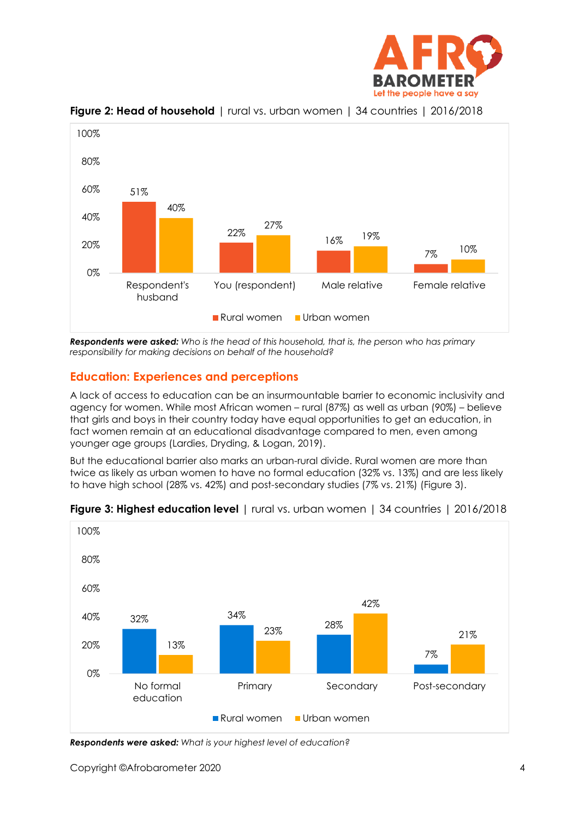



#### **Figure 2: Head of household** | rural vs. urban women | 34 countries | 2016/2018

*Respondents were asked: Who is the head of this household, that is, the person who has primary responsibility for making decisions on behalf of the household?*

#### **Education: Experiences and perceptions**

A lack of access to education can be an insurmountable barrier to economic inclusivity and agency for women. While most African women – rural (87%) as well as urban (90%) – believe that girls and boys in their country today have equal opportunities to get an education, in fact women remain at an educational disadvantage compared to men, even among younger age groups (Lardies, Dryding, & Logan, 2019).

But the educational barrier also marks an urban-rural divide. Rural women are more than twice as likely as urban women to have no formal education (32% vs. 13%) and are less likely to have high school (28% vs. 42%) and post-secondary studies (7% vs. 21%) (Figure 3).



#### **Figure 3: Highest education level** | rural vs. urban women | 34 countries | 2016/2018

*Respondents were asked: What is your highest level of education?*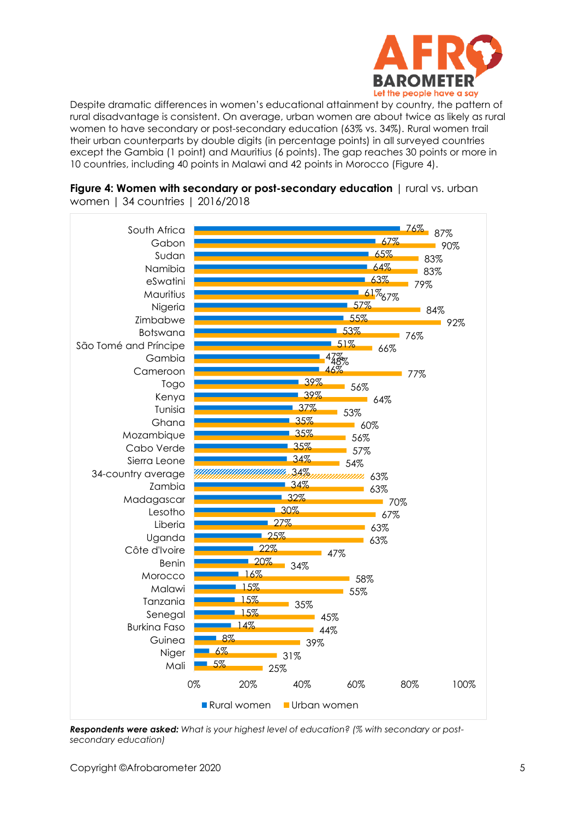

Despite dramatic differences in women's educational attainment by country, the pattern of rural disadvantage is consistent. On average, urban women are about twice as likely as rural women to have secondary or post-secondary education (63% vs. 34%). Rural women trail their urban counterparts by double digits (in percentage points) in all surveyed countries except the Gambia (1 point) and Mauritius (6 points). The gap reaches 30 points or more in 10 countries, including 40 points in Malawi and 42 points in Morocco (Figure 4).



**Figure 4: Women with secondary or post-secondary education** | rural vs. urban women | 34 countries | 2016/2018

*Respondents were asked: What is your highest level of education? (% with secondary or postsecondary education)*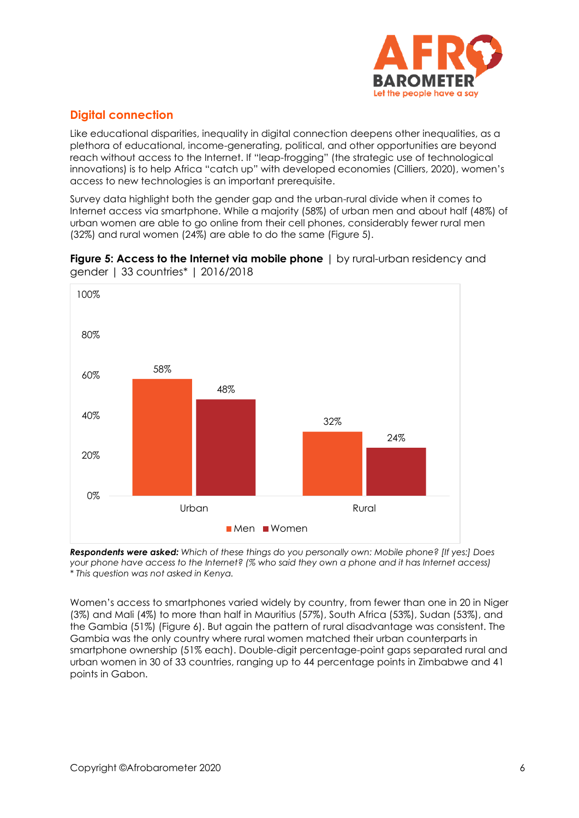

## **Digital connection**

Like educational disparities, inequality in digital connection deepens other inequalities, as a plethora of educational, income-generating, political, and other opportunities are beyond reach without access to the Internet. If "leap-frogging" (the strategic use of technological innovations) is to help Africa "catch up" with developed economies (Cilliers, 2020), women's access to new technologies is an important prerequisite.

Survey data highlight both the gender gap and the urban-rural divide when it comes to Internet access via smartphone. While a majority (58%) of urban men and about half (48%) of urban women are able to go online from their cell phones, considerably fewer rural men (32%) and rural women (24%) are able to do the same (Figure 5).





*Respondents were asked: Which of these things do you personally own: Mobile phone? [If yes:] Does your phone have access to the Internet? (% who said they own a phone and it has Internet access) \* This question was not asked in Kenya.*

Women's access to smartphones varied widely by country, from fewer than one in 20 in Niger (3%) and Mali (4%) to more than half in Mauritius (57%), South Africa (53%), Sudan (53%), and the Gambia (51%) (Figure 6). But again the pattern of rural disadvantage was consistent. The Gambia was the only country where rural women matched their urban counterparts in smartphone ownership (51% each). Double-digit percentage-point gaps separated rural and urban women in 30 of 33 countries, ranging up to 44 percentage points in Zimbabwe and 41 points in Gabon.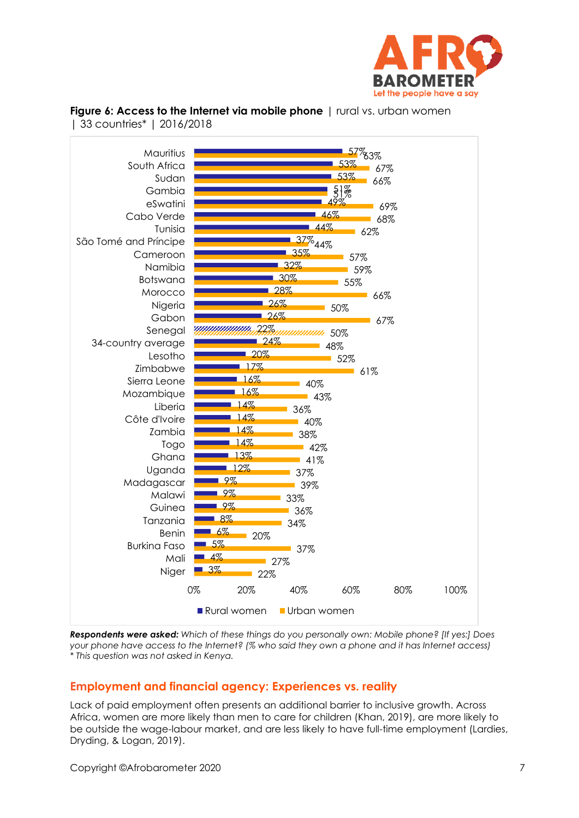



**Figure 6: Access to the Internet via mobile phone** | rural vs. urban women | 33 countries\* | 2016/2018

*Respondents were asked: Which of these things do you personally own: Mobile phone? [If yes:] Does your phone have access to the Internet? (% who said they own a phone and it has Internet access) \* This question was not asked in Kenya.*

## **Employment and financial agency: Experiences vs. reality**

Lack of paid employment often presents an additional barrier to inclusive growth. Across Africa, women are more likely than men to care for children (Khan, 2019), are more likely to be outside the wage-labour market, and are less likely to have full-time employment (Lardies, Dryding, & Logan, 2019).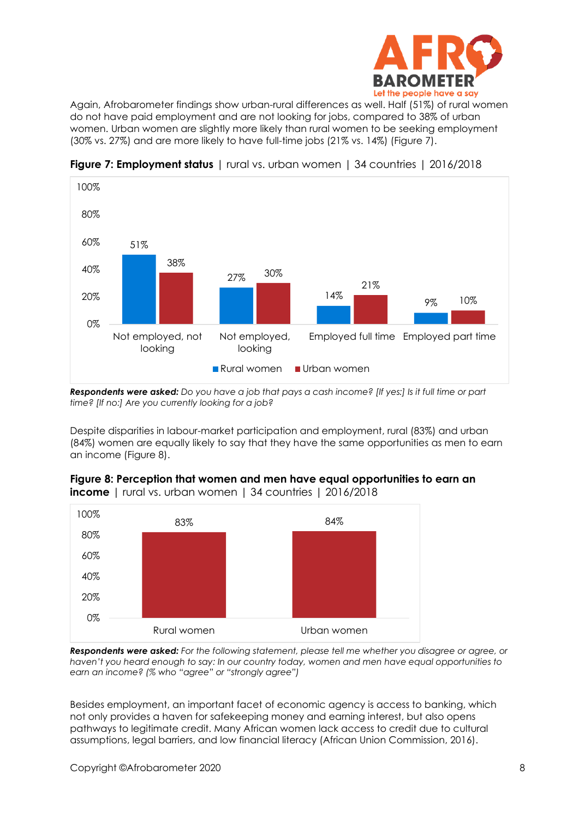

Again, Afrobarometer findings show urban-rural differences as well. Half (51%) of rural women do not have paid employment and are not looking for jobs, compared to 38% of urban women. Urban women are slightly more likely than rural women to be seeking employment (30% vs. 27%) and are more likely to have full-time jobs (21% vs. 14%) (Figure 7).



**Figure 7: Employment status** | rural vs. urban women | 34 countries | 2016/2018

*Respondents were asked: Do you have a job that pays a cash income? [If yes:] Is it full time or part time? [If no:] Are you currently looking for a job?*

Despite disparities in labour-market participation and employment, rural (83%) and urban (84%) women are equally likely to say that they have the same opportunities as men to earn an income (Figure 8).



**Figure 8: Perception that women and men have equal opportunities to earn an income** | rural vs. urban women | 34 countries | 2016/2018

*Respondents were asked: For the following statement, please tell me whether you disagree or agree, or haven't you heard enough to say: In our country today, women and men have equal opportunities to earn an income? (% who "agree" or "strongly agree")*

Besides employment, an important facet of economic agency is access to banking, which not only provides a haven for safekeeping money and earning interest, but also opens pathways to legitimate credit. Many African women lack access to credit due to cultural assumptions, legal barriers, and low financial literacy (African Union Commission, 2016).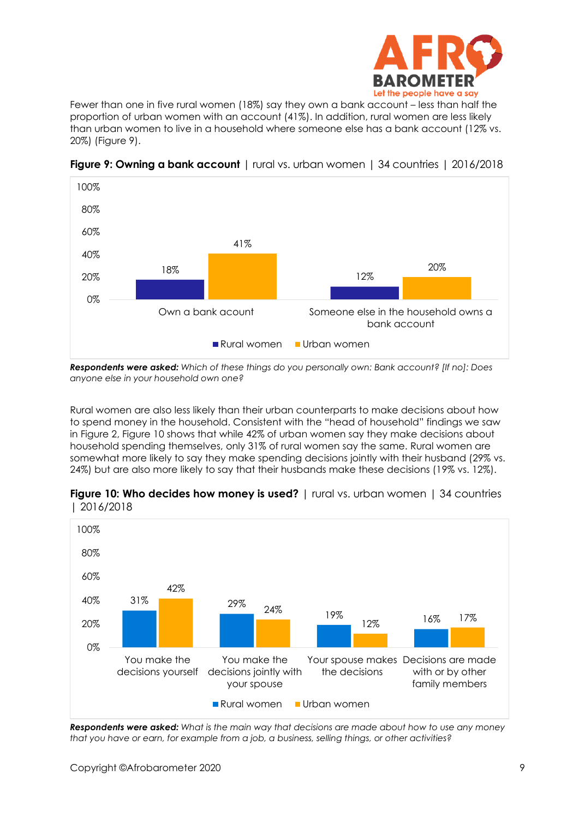

Fewer than one in five rural women (18%) say they own a bank account – less than half the proportion of urban women with an account (41%). In addition, rural women are less likely than urban women to live in a household where someone else has a bank account (12% vs. 20%) (Figure 9).



**Figure 9: Owning a bank account** | rural vs. urban women | 34 countries | 2016/2018

*Respondents were asked: Which of these things do you personally own: Bank account? [If no]: Does anyone else in your household own one?*

Rural women are also less likely than their urban counterparts to make decisions about how to spend money in the household. Consistent with the "head of household" findings we saw in Figure 2, Figure 10 shows that while 42% of urban women say they make decisions about household spending themselves, only 31% of rural women say the same. Rural women are somewhat more likely to say they make spending decisions jointly with their husband (29% vs. 24%) but are also more likely to say that their husbands make these decisions (19% vs. 12%).



**Figure 10: Who decides how money is used?** | rural vs. urban women | 34 countries | 2016/2018

*Respondents were asked: What is the main way that decisions are made about how to use any money that you have or earn, for example from a job, a business, selling things, or other activities?*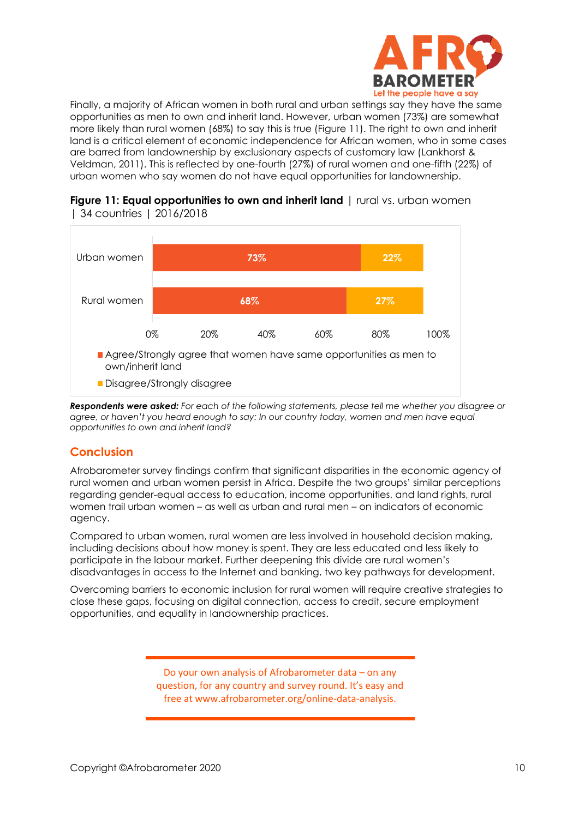

Finally, a majority of African women in both rural and urban settings say they have the same opportunities as men to own and inherit land. However, urban women (73%) are somewhat more likely than rural women (68%) to say this is true (Figure 11). The right to own and inherit land is a critical element of economic independence for African women, who in some cases are barred from landownership by exclusionary aspects of customary law (Lankhorst & Veldman, 2011). This is reflected by one-fourth (27%) of rural women and one-fifth (22%) of urban women who say women do not have equal opportunities for landownership.





*Respondents were asked: For each of the following statements, please tell me whether you disagree or agree, or haven't you heard enough to say: In our country today, women and men have equal opportunities to own and inherit land?*

## **Conclusion**

Afrobarometer survey findings confirm that significant disparities in the economic agency of rural women and urban women persist in Africa. Despite the two groups' similar perceptions regarding gender-equal access to education, income opportunities, and land rights, rural women trail urban women – as well as urban and rural men – on indicators of economic agency.

Compared to urban women, rural women are less involved in household decision making, including decisions about how money is spent. They are less educated and less likely to participate in the labour market. Further deepening this divide are rural women's disadvantages in access to the Internet and banking, two key pathways for development.

Overcoming barriers to economic inclusion for rural women will require creative strategies to close these gaps, focusing on digital connection, access to credit, secure employment opportunities, and equality in landownership practices.

> Do your own analysis of Afrobarometer data – on any question, for any country and survey round. It's easy and free at www.afrobarometer.org/online-data-analysis.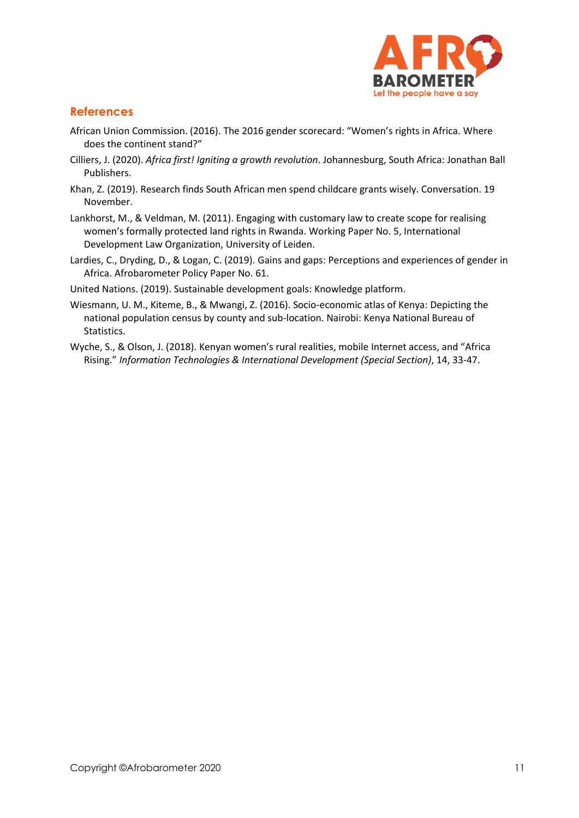

## **References**

- African Union Commission. (2016). [The 2016 gender scorecard: "Women's rights in Africa.](https://au.int/sites/default/files/documents/36968-doc-2016_auc_african_gender_scorecard_english.pdf) Where [does the continent stand?](https://au.int/sites/default/files/documents/36968-doc-2016_auc_african_gender_scorecard_english.pdf)"
- Cilliers, J. (2020). *Africa first! Igniting a growth revolution*. Johannesburg, South Africa: Jonathan Ball Publishers.
- Khan, Z. (2019). Research finds South African men spend childcare grants wisely. Conversation. 19 November.
- Lankhorst, M., & Veldman, M. (2011). Engaging with customary law to create scope for realising women's formally protected land rights in Rwanda. Working Paper No. 5, International Development Law Organization, University of Leiden.
- Lardies, C., Dryding, D., & Logan, C. (2019). [Gains and gaps: Perceptions and experiences of gender in](http://afrobarometer.org/sites/default/files/publications/Policy%20papers/ab_r7_policypaperno61_gains_and_gaps_gender_perceptions_in_africa.pdf)  [Africa.](http://afrobarometer.org/sites/default/files/publications/Policy%20papers/ab_r7_policypaperno61_gains_and_gaps_gender_perceptions_in_africa.pdf) Afrobarometer Policy Paper No. 61.
- United Nations. (2019)[. Sustainable development goals: Knowledge platform.](https://sustainabledevelopment.un.org/gsdr2019)
- Wiesmann, U. M., Kiteme, B., & Mwangi, Z. (2016). [Socio-economic atlas of Kenya: Depicting the](file:///C:/Users/BrianHoward/Documents/Afrobarometer/Edit/Multi-country/Rural%20women-aug20/Wiesmann,%20U.%20M.,%20Kiteme,%20B.,%20&%20Mwangi,%20Z.%20(2016).%20Socio-economic%20atlas%20of%20Kenya:%20Depicting%20the%20national%20population%20census%20by%20county%20and%20sub-location.%20Kenya%20National%20Bureau%20of%20Statistics)  [national population census by county and sub-location.](file:///C:/Users/BrianHoward/Documents/Afrobarometer/Edit/Multi-country/Rural%20women-aug20/Wiesmann,%20U.%20M.,%20Kiteme,%20B.,%20&%20Mwangi,%20Z.%20(2016).%20Socio-economic%20atlas%20of%20Kenya:%20Depicting%20the%20national%20population%20census%20by%20county%20and%20sub-location.%20Kenya%20National%20Bureau%20of%20Statistics) Nairobi: Kenya National Bureau of Statistics.
- Wyche, S., & Olson, J. (2018). Kenyan women's rural realities, mobile Internet access, and "Africa Rising." *Information Technologies & International Development (Special Section)*, 14, 33-47.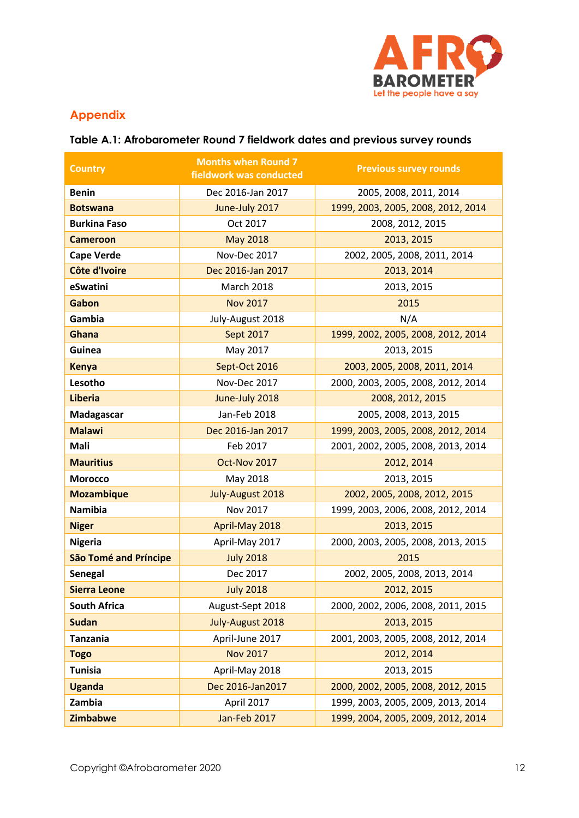

## **Appendix**

## **Table A.1: Afrobarometer Round 7 fieldwork dates and previous survey rounds**

| <b>Country</b>               | <b>Months when Round 7</b><br>fieldwork was conducted | <b>Previous survey rounds</b>      |  |  |
|------------------------------|-------------------------------------------------------|------------------------------------|--|--|
| <b>Benin</b>                 | Dec 2016-Jan 2017                                     | 2005, 2008, 2011, 2014             |  |  |
| <b>Botswana</b>              | June-July 2017                                        | 1999, 2003, 2005, 2008, 2012, 2014 |  |  |
| <b>Burkina Faso</b>          | Oct 2017                                              | 2008, 2012, 2015                   |  |  |
| <b>Cameroon</b>              | <b>May 2018</b>                                       | 2013, 2015                         |  |  |
| <b>Cape Verde</b>            | Nov-Dec 2017                                          | 2002, 2005, 2008, 2011, 2014       |  |  |
| Côte d'Ivoire                | Dec 2016-Jan 2017                                     | 2013, 2014                         |  |  |
| eSwatini                     | <b>March 2018</b>                                     | 2013, 2015                         |  |  |
| Gabon                        | <b>Nov 2017</b>                                       | 2015                               |  |  |
| Gambia                       | July-August 2018                                      | N/A                                |  |  |
| Ghana                        | <b>Sept 2017</b>                                      | 1999, 2002, 2005, 2008, 2012, 2014 |  |  |
| Guinea                       | May 2017                                              | 2013, 2015                         |  |  |
| <b>Kenya</b>                 | Sept-Oct 2016                                         | 2003, 2005, 2008, 2011, 2014       |  |  |
| Lesotho                      | Nov-Dec 2017                                          | 2000, 2003, 2005, 2008, 2012, 2014 |  |  |
| <b>Liberia</b>               | June-July 2018                                        | 2008, 2012, 2015                   |  |  |
| Madagascar                   | Jan-Feb 2018                                          | 2005, 2008, 2013, 2015             |  |  |
| <b>Malawi</b>                | Dec 2016-Jan 2017                                     | 1999, 2003, 2005, 2008, 2012, 2014 |  |  |
| Mali                         | Feb 2017                                              | 2001, 2002, 2005, 2008, 2013, 2014 |  |  |
| <b>Mauritius</b>             | Oct-Nov 2017                                          | 2012, 2014                         |  |  |
| <b>Morocco</b>               | May 2018                                              | 2013, 2015                         |  |  |
| <b>Mozambique</b>            | July-August 2018                                      | 2002, 2005, 2008, 2012, 2015       |  |  |
| <b>Namibia</b>               | Nov 2017                                              | 1999, 2003, 2006, 2008, 2012, 2014 |  |  |
| <b>Niger</b>                 | April-May 2018                                        | 2013, 2015                         |  |  |
| <b>Nigeria</b>               | April-May 2017                                        | 2000, 2003, 2005, 2008, 2013, 2015 |  |  |
| <b>São Tomé and Príncipe</b> | <b>July 2018</b>                                      | 2015                               |  |  |
| Senegal                      | Dec 2017                                              | 2002, 2005, 2008, 2013, 2014       |  |  |
| <b>Sierra Leone</b>          | <b>July 2018</b>                                      | 2012, 2015                         |  |  |
| <b>South Africa</b>          | August-Sept 2018                                      | 2000, 2002, 2006, 2008, 2011, 2015 |  |  |
| <b>Sudan</b>                 | July-August 2018                                      | 2013, 2015                         |  |  |
| <b>Tanzania</b>              | April-June 2017                                       | 2001, 2003, 2005, 2008, 2012, 2014 |  |  |
| <b>Togo</b>                  | <b>Nov 2017</b>                                       | 2012, 2014                         |  |  |
| <b>Tunisia</b>               | April-May 2018                                        | 2013, 2015                         |  |  |
| <b>Uganda</b>                | Dec 2016-Jan2017                                      | 2000, 2002, 2005, 2008, 2012, 2015 |  |  |
| Zambia                       | April 2017                                            | 1999, 2003, 2005, 2009, 2013, 2014 |  |  |
| <b>Zimbabwe</b>              | Jan-Feb 2017                                          | 1999, 2004, 2005, 2009, 2012, 2014 |  |  |